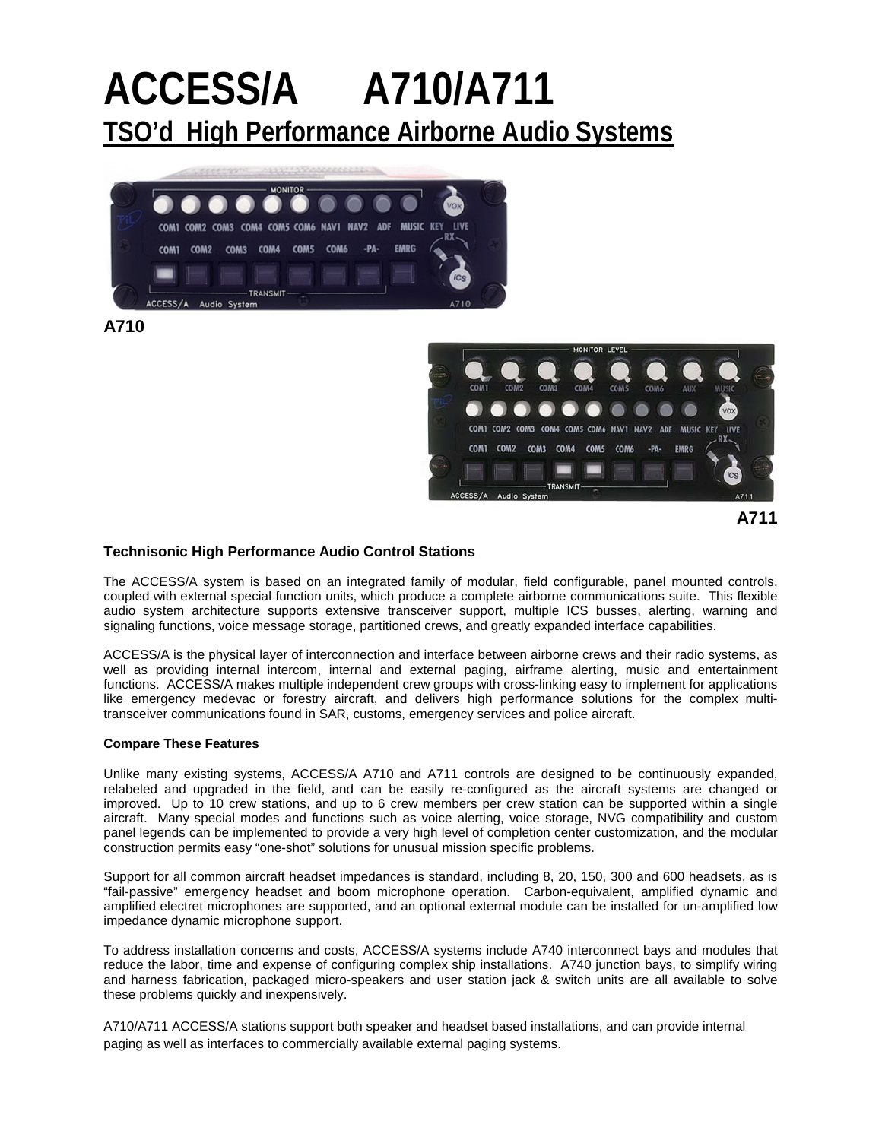# **ACCESS/A A710/A711 TSO'd High Performance Airborne Audio Systems**



**A710**



**A711**

#### **Technisonic High Performance Audio Control Stations**

The ACCESS/A system is based on an integrated family of modular, field configurable, panel mounted controls, coupled with external special function units, which produce a complete airborne communications suite. This flexible audio system architecture supports extensive transceiver support, multiple ICS busses, alerting, warning and signaling functions, voice message storage, partitioned crews, and greatly expanded interface capabilities.

ACCESS/A is the physical layer of interconnection and interface between airborne crews and their radio systems, as well as providing internal intercom, internal and external paging, airframe alerting, music and entertainment functions. ACCESS/A makes multiple independent crew groups with cross-linking easy to implement for applications like emergency medevac or forestry aircraft, and delivers high performance solutions for the complex multitransceiver communications found in SAR, customs, emergency services and police aircraft.

#### **Compare These Features**

Unlike many existing systems, ACCESS/A A710 and A711 controls are designed to be continuously expanded, relabeled and upgraded in the field, and can be easily re-configured as the aircraft systems are changed or improved. Up to 10 crew stations, and up to 6 crew members per crew station can be supported within a single aircraft. Many special modes and functions such as voice alerting, voice storage, NVG compatibility and custom panel legends can be implemented to provide a very high level of completion center customization, and the modular construction permits easy "one-shot" solutions for unusual mission specific problems.

Support for all common aircraft headset impedances is standard, including 8, 20, 150, 300 and 600 headsets, as is "fail-passive" emergency headset and boom microphone operation. Carbon-equivalent, amplified dynamic and amplified electret microphones are supported, and an optional external module can be installed for un-amplified low impedance dynamic microphone support.

To address installation concerns and costs, ACCESS/A systems include A740 interconnect bays and modules that reduce the labor, time and expense of configuring complex ship installations. A740 junction bays, to simplify wiring and harness fabrication, packaged micro-speakers and user station jack & switch units are all available to solve these problems quickly and inexpensively.

A710/A711 ACCESS/A stations support both speaker and headset based installations, and can provide internal paging as well as interfaces to commercially available external paging systems.